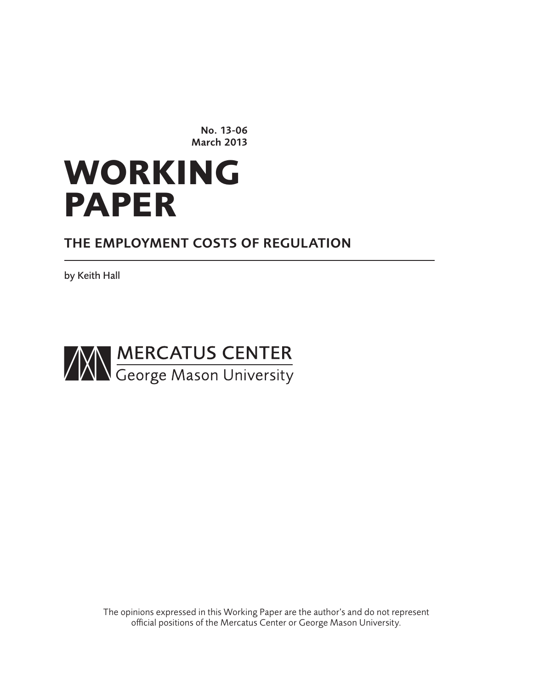No. 13-06 March 2013

# **WORKING PAPER**

# THE EMPLOYMENT COSTS OF REGULATION

by Keith Hall



The opinions expressed in this Working Paper are the author's and do not represent official positions of the Mercatus Center or George Mason University.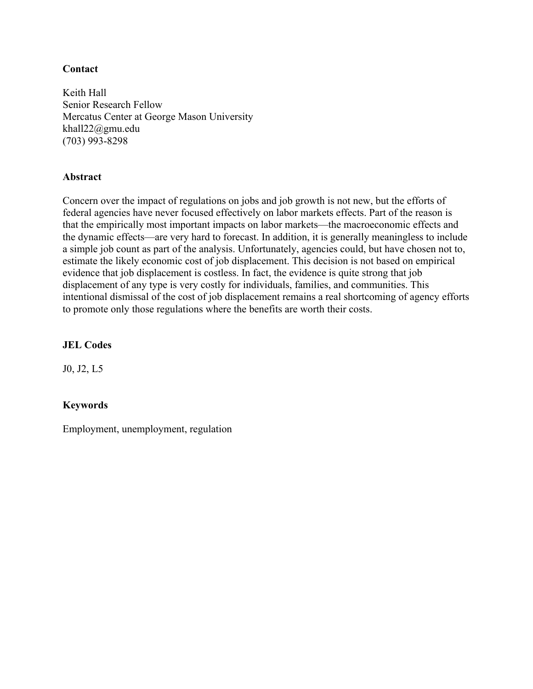# **Contact**

Keith Hall Senior Research Fellow Mercatus Center at George Mason University khall22@gmu.edu (703) 993-8298

# **Abstract**

Concern over the impact of regulations on jobs and job growth is not new, but the efforts of federal agencies have never focused effectively on labor markets effects. Part of the reason is that the empirically most important impacts on labor markets—the macroeconomic effects and the dynamic effects—are very hard to forecast. In addition, it is generally meaningless to include a simple job count as part of the analysis. Unfortunately, agencies could, but have chosen not to, estimate the likely economic cost of job displacement. This decision is not based on empirical evidence that job displacement is costless. In fact, the evidence is quite strong that job displacement of any type is very costly for individuals, families, and communities. This intentional dismissal of the cost of job displacement remains a real shortcoming of agency efforts to promote only those regulations where the benefits are worth their costs.

# **JEL Codes**

J0, J2, L5

# **Keywords**

Employment, unemployment, regulation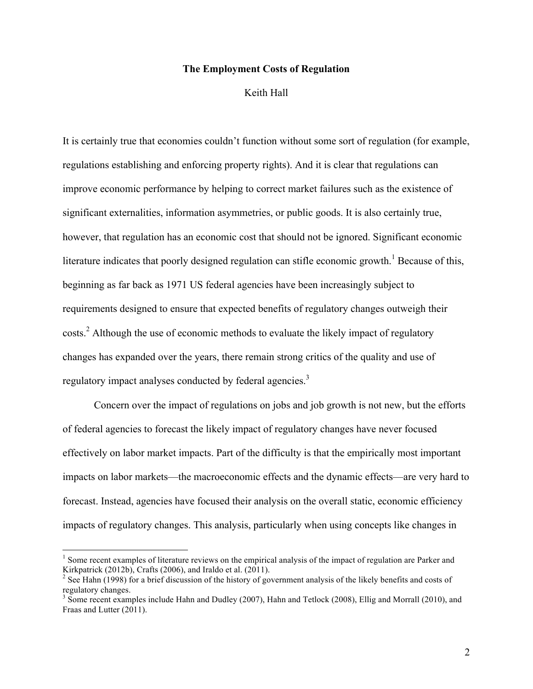#### **The Employment Costs of Regulation**

Keith Hall

It is certainly true that economies couldn't function without some sort of regulation (for example, regulations establishing and enforcing property rights). And it is clear that regulations can improve economic performance by helping to correct market failures such as the existence of significant externalities, information asymmetries, or public goods. It is also certainly true, however, that regulation has an economic cost that should not be ignored. Significant economic literature indicates that poorly designed regulation can stifle economic growth.<sup>1</sup> Because of this, beginning as far back as 1971 US federal agencies have been increasingly subject to requirements designed to ensure that expected benefits of regulatory changes outweigh their costs.<sup>2</sup> Although the use of economic methods to evaluate the likely impact of regulatory changes has expanded over the years, there remain strong critics of the quality and use of regulatory impact analyses conducted by federal agencies.<sup>3</sup>

Concern over the impact of regulations on jobs and job growth is not new, but the efforts of federal agencies to forecast the likely impact of regulatory changes have never focused effectively on labor market impacts. Part of the difficulty is that the empirically most important impacts on labor markets—the macroeconomic effects and the dynamic effects—are very hard to forecast. Instead, agencies have focused their analysis on the overall static, economic efficiency impacts of regulatory changes. This analysis, particularly when using concepts like changes in

<sup>&</sup>lt;sup>1</sup> Some recent examples of literature reviews on the empirical analysis of the impact of regulation are Parker and Kirkpatrick (2012b), Crafts (2006), and Iraldo et al. (2011).

<sup>&</sup>lt;sup>2</sup> See Hahn (1998) for a brief discussion of the history of government analysis of the likely benefits and costs of regulatory changes.

<sup>&</sup>lt;sup>3</sup> Some recent examples include Hahn and Dudley (2007), Hahn and Tetlock (2008), Ellig and Morrall (2010), and Fraas and Lutter (2011).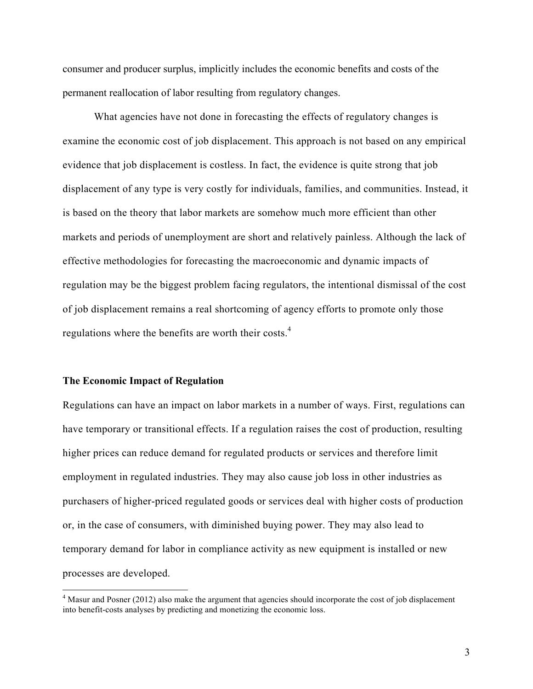consumer and producer surplus, implicitly includes the economic benefits and costs of the permanent reallocation of labor resulting from regulatory changes.

What agencies have not done in forecasting the effects of regulatory changes is examine the economic cost of job displacement. This approach is not based on any empirical evidence that job displacement is costless. In fact, the evidence is quite strong that job displacement of any type is very costly for individuals, families, and communities. Instead, it is based on the theory that labor markets are somehow much more efficient than other markets and periods of unemployment are short and relatively painless. Although the lack of effective methodologies for forecasting the macroeconomic and dynamic impacts of regulation may be the biggest problem facing regulators, the intentional dismissal of the cost of job displacement remains a real shortcoming of agency efforts to promote only those regulations where the benefits are worth their costs.<sup>4</sup>

#### **The Economic Impact of Regulation**

!!!!!!!!!!!!!!!!!!!!!!!!!!!!!!!!!!!!!!!!!!!!!!!!!!!!!!!!!!!!

Regulations can have an impact on labor markets in a number of ways. First, regulations can have temporary or transitional effects. If a regulation raises the cost of production, resulting higher prices can reduce demand for regulated products or services and therefore limit employment in regulated industries. They may also cause job loss in other industries as purchasers of higher-priced regulated goods or services deal with higher costs of production or, in the case of consumers, with diminished buying power. They may also lead to temporary demand for labor in compliance activity as new equipment is installed or new processes are developed.

<sup>&</sup>lt;sup>4</sup> Masur and Posner (2012) also make the argument that agencies should incorporate the cost of job displacement into benefit-costs analyses by predicting and monetizing the economic loss.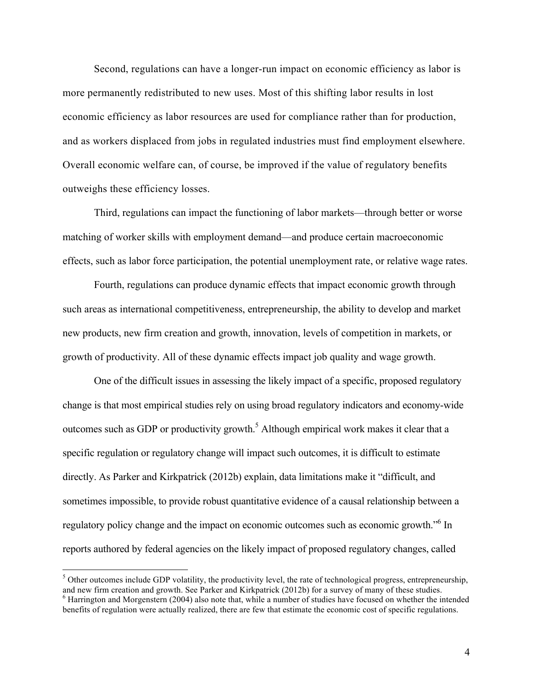Second, regulations can have a longer-run impact on economic efficiency as labor is more permanently redistributed to new uses. Most of this shifting labor results in lost economic efficiency as labor resources are used for compliance rather than for production, and as workers displaced from jobs in regulated industries must find employment elsewhere. Overall economic welfare can, of course, be improved if the value of regulatory benefits outweighs these efficiency losses.

Third, regulations can impact the functioning of labor markets—through better or worse matching of worker skills with employment demand—and produce certain macroeconomic effects, such as labor force participation, the potential unemployment rate, or relative wage rates.

Fourth, regulations can produce dynamic effects that impact economic growth through such areas as international competitiveness, entrepreneurship, the ability to develop and market new products, new firm creation and growth, innovation, levels of competition in markets, or growth of productivity. All of these dynamic effects impact job quality and wage growth.

One of the difficult issues in assessing the likely impact of a specific, proposed regulatory change is that most empirical studies rely on using broad regulatory indicators and economy-wide outcomes such as GDP or productivity growth.<sup>5</sup> Although empirical work makes it clear that a specific regulation or regulatory change will impact such outcomes, it is difficult to estimate directly. As Parker and Kirkpatrick (2012b) explain, data limitations make it "difficult, and sometimes impossible, to provide robust quantitative evidence of a causal relationship between a regulatory policy change and the impact on economic outcomes such as economic growth."<sup>6</sup> In reports authored by federal agencies on the likely impact of proposed regulatory changes, called

 $5$  Other outcomes include GDP volatility, the productivity level, the rate of technological progress, entrepreneurship, and new firm creation and growth. See Parker and Kirkpatrick (2012b) for a survey of many of these s  $\alpha$ <sup>6</sup> Harrington and Morgenstern (2004) also note that, while a number of studies have focused on whether the intended benefits of regulation were actually realized, there are few that estimate the economic cost of specific regulations.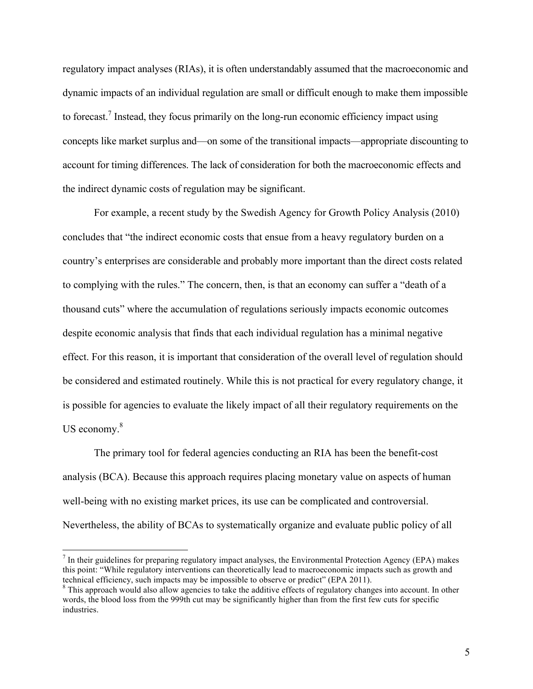regulatory impact analyses (RIAs), it is often understandably assumed that the macroeconomic and dynamic impacts of an individual regulation are small or difficult enough to make them impossible to forecast.<sup>7</sup> Instead, they focus primarily on the long-run economic efficiency impact using concepts like market surplus and—on some of the transitional impacts—appropriate discounting to account for timing differences. The lack of consideration for both the macroeconomic effects and the indirect dynamic costs of regulation may be significant.

For example, a recent study by the Swedish Agency for Growth Policy Analysis (2010) concludes that "the indirect economic costs that ensue from a heavy regulatory burden on a country's enterprises are considerable and probably more important than the direct costs related to complying with the rules." The concern, then, is that an economy can suffer a "death of a thousand cuts" where the accumulation of regulations seriously impacts economic outcomes despite economic analysis that finds that each individual regulation has a minimal negative effect. For this reason, it is important that consideration of the overall level of regulation should be considered and estimated routinely. While this is not practical for every regulatory change, it is possible for agencies to evaluate the likely impact of all their regulatory requirements on the US economy.<sup>8</sup>

The primary tool for federal agencies conducting an RIA has been the benefit-cost analysis (BCA). Because this approach requires placing monetary value on aspects of human well-being with no existing market prices, its use can be complicated and controversial. Nevertheless, the ability of BCAs to systematically organize and evaluate public policy of all

 $^7$  In their guidelines for preparing regulatory impact analyses, the Environmental Protection Agency (EPA) makes this point: "While regulatory interventions can theoretically lead to macroeconomic impacts such as growth and technical efficiency, such impacts may be impossible to observe or predict" (EPA 2011).<br><sup>8</sup> This approach would also allow agencies to take the additive effects of regulatory changes into account. In other

words, the blood loss from the 999th cut may be significantly higher than from the first few cuts for specific industries.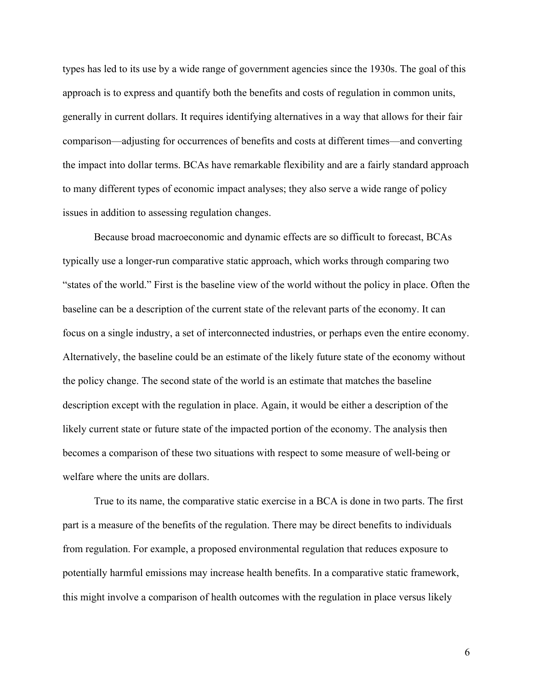types has led to its use by a wide range of government agencies since the 1930s. The goal of this approach is to express and quantify both the benefits and costs of regulation in common units, generally in current dollars. It requires identifying alternatives in a way that allows for their fair comparison—adjusting for occurrences of benefits and costs at different times—and converting the impact into dollar terms. BCAs have remarkable flexibility and are a fairly standard approach to many different types of economic impact analyses; they also serve a wide range of policy issues in addition to assessing regulation changes.

Because broad macroeconomic and dynamic effects are so difficult to forecast, BCAs typically use a longer-run comparative static approach, which works through comparing two "states of the world." First is the baseline view of the world without the policy in place. Often the baseline can be a description of the current state of the relevant parts of the economy. It can focus on a single industry, a set of interconnected industries, or perhaps even the entire economy. Alternatively, the baseline could be an estimate of the likely future state of the economy without the policy change. The second state of the world is an estimate that matches the baseline description except with the regulation in place. Again, it would be either a description of the likely current state or future state of the impacted portion of the economy. The analysis then becomes a comparison of these two situations with respect to some measure of well-being or welfare where the units are dollars.

True to its name, the comparative static exercise in a BCA is done in two parts. The first part is a measure of the benefits of the regulation. There may be direct benefits to individuals from regulation. For example, a proposed environmental regulation that reduces exposure to potentially harmful emissions may increase health benefits. In a comparative static framework, this might involve a comparison of health outcomes with the regulation in place versus likely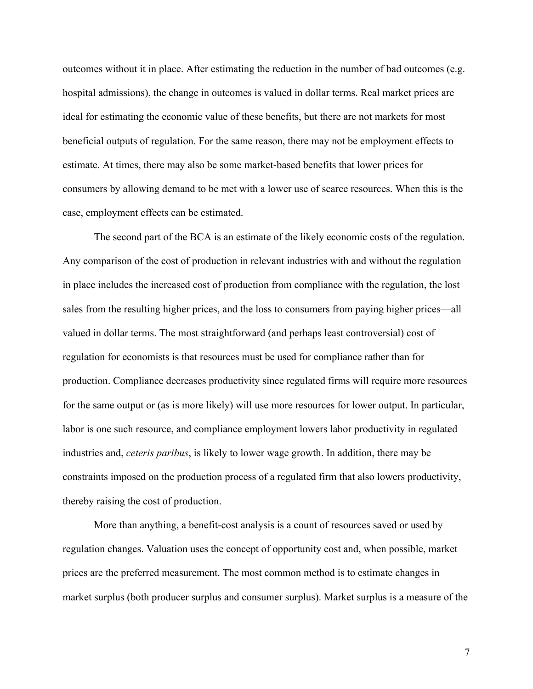outcomes without it in place. After estimating the reduction in the number of bad outcomes (e.g. hospital admissions), the change in outcomes is valued in dollar terms. Real market prices are ideal for estimating the economic value of these benefits, but there are not markets for most beneficial outputs of regulation. For the same reason, there may not be employment effects to estimate. At times, there may also be some market-based benefits that lower prices for consumers by allowing demand to be met with a lower use of scarce resources. When this is the case, employment effects can be estimated.

The second part of the BCA is an estimate of the likely economic costs of the regulation. Any comparison of the cost of production in relevant industries with and without the regulation in place includes the increased cost of production from compliance with the regulation, the lost sales from the resulting higher prices, and the loss to consumers from paying higher prices—all valued in dollar terms. The most straightforward (and perhaps least controversial) cost of regulation for economists is that resources must be used for compliance rather than for production. Compliance decreases productivity since regulated firms will require more resources for the same output or (as is more likely) will use more resources for lower output. In particular, labor is one such resource, and compliance employment lowers labor productivity in regulated industries and, *ceteris paribus*, is likely to lower wage growth. In addition, there may be constraints imposed on the production process of a regulated firm that also lowers productivity, thereby raising the cost of production.

More than anything, a benefit-cost analysis is a count of resources saved or used by regulation changes. Valuation uses the concept of opportunity cost and, when possible, market prices are the preferred measurement. The most common method is to estimate changes in market surplus (both producer surplus and consumer surplus). Market surplus is a measure of the

7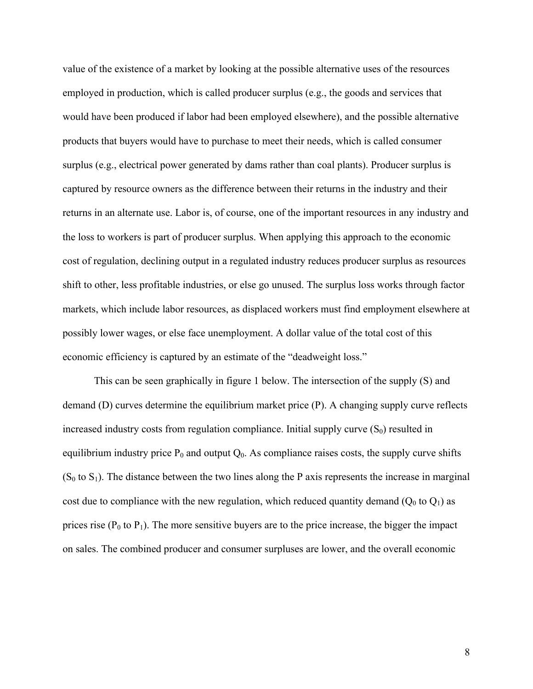value of the existence of a market by looking at the possible alternative uses of the resources employed in production, which is called producer surplus (e.g., the goods and services that would have been produced if labor had been employed elsewhere), and the possible alternative products that buyers would have to purchase to meet their needs, which is called consumer surplus (e.g., electrical power generated by dams rather than coal plants). Producer surplus is captured by resource owners as the difference between their returns in the industry and their returns in an alternate use. Labor is, of course, one of the important resources in any industry and the loss to workers is part of producer surplus. When applying this approach to the economic cost of regulation, declining output in a regulated industry reduces producer surplus as resources shift to other, less profitable industries, or else go unused. The surplus loss works through factor markets, which include labor resources, as displaced workers must find employment elsewhere at possibly lower wages, or else face unemployment. A dollar value of the total cost of this economic efficiency is captured by an estimate of the "deadweight loss."

This can be seen graphically in figure 1 below. The intersection of the supply (S) and demand (D) curves determine the equilibrium market price (P). A changing supply curve reflects increased industry costs from regulation compliance. Initial supply curve  $(S_0)$  resulted in equilibrium industry price  $P_0$  and output  $Q_0$ . As compliance raises costs, the supply curve shifts  $(S_0$  to  $S_1)$ . The distance between the two lines along the P axis represents the increase in marginal cost due to compliance with the new regulation, which reduced quantity demand  $(Q_0$  to  $Q_1$ ) as prices rise  $(P_0$  to  $P_1$ ). The more sensitive buyers are to the price increase, the bigger the impact on sales. The combined producer and consumer surpluses are lower, and the overall economic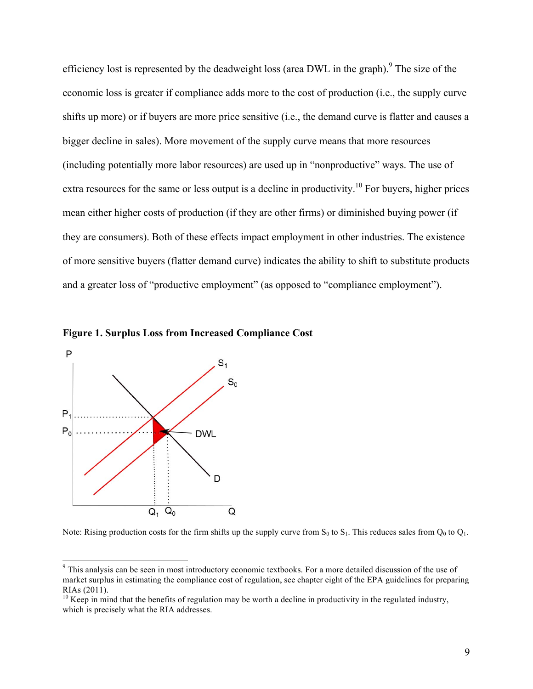efficiency lost is represented by the deadweight loss (area DWL in the graph).<sup>9</sup> The size of the economic loss is greater if compliance adds more to the cost of production (i.e., the supply curve shifts up more) or if buyers are more price sensitive (i.e., the demand curve is flatter and causes a bigger decline in sales). More movement of the supply curve means that more resources (including potentially more labor resources) are used up in "nonproductive" ways. The use of extra resources for the same or less output is a decline in productivity.<sup>10</sup> For buyers, higher prices mean either higher costs of production (if they are other firms) or diminished buying power (if they are consumers). Both of these effects impact employment in other industries. The existence of more sensitive buyers (flatter demand curve) indicates the ability to shift to substitute products and a greater loss of "productive employment" (as opposed to "compliance employment").



**Figure 1. Surplus Loss from Increased Compliance Cost**

Note: Rising production costs for the firm shifts up the supply curve from  $S_0$  to  $S_1$ . This reduces sales from  $Q_0$  to  $Q_1$ .

<sup>&</sup>lt;sup>9</sup> This analysis can be seen in most introductory economic textbooks. For a more detailed discussion of the use of market surplus in estimating the compliance cost of regulation, see chapter eight of the EPA guidelines for preparing RIAs (2011).

 $10$  Keep in mind that the benefits of regulation may be worth a decline in productivity in the regulated industry, which is precisely what the RIA addresses.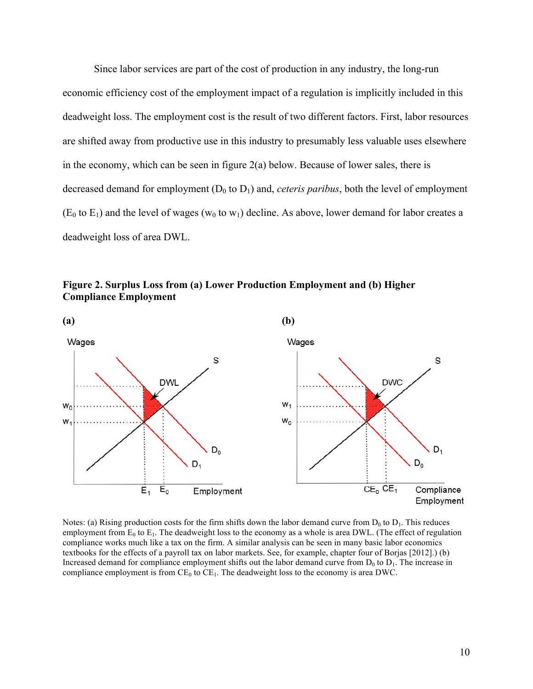Since labor services are part of the cost of production in any industry, the long-run economic efficiency cost of the employment impact of a regulation is implicitly included in this deadweight loss. The employment cost is the result of two different factors. First, labor resources are shifted away from productive use in this industry to presumably less valuable uses elsewhere in the economy, which can be seen in figure  $2(a)$  below. Because of lower sales, there is decreased demand for employment  $(D_0$  to  $D_1$ ) and, *ceteris paribus*, both the level of employment  $(E_0$  to  $E_1$ ) and the level of wages (w<sub>0</sub> to w<sub>1</sub>) decline. As above, lower demand for labor creates a deadweight loss of area DWL.





Notes: (a) Rising production costs for the firm shifts down the labor demand curve from  $D_0$  to  $D_1$ . This reduces employment from  $E_0$  to  $E_1$ . The deadweight loss to the economy as a whole is area DWL. (The effect of regulation compliance works much like a tax on the firm. A similar analysis can be seen in many basic labor economics textbooks for the effects of a payroll tax on labor markets. See, for example, chapter four of Borjas [2012].) (b) Increased demand for compliance employment shifts out the labor demand curve from  $D_0$  to  $D_1$ . The increase in compliance employment is from  $CE_0$  to  $CE_1$ . The deadweight loss to the economy is area DWC.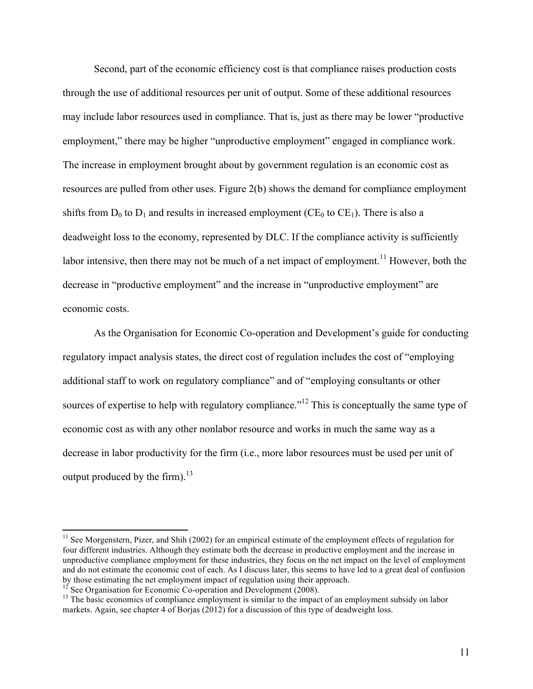Second, part of the economic efficiency cost is that compliance raises production costs through the use of additional resources per unit of output. Some of these additional resources may include labor resources used in compliance. That is, just as there may be lower "productive employment," there may be higher "unproductive employment" engaged in compliance work. The increase in employment brought about by government regulation is an economic cost as resources are pulled from other uses. Figure 2(b) shows the demand for compliance employment shifts from  $D_0$  to  $D_1$  and results in increased employment (CE<sub>0</sub> to CE<sub>1</sub>). There is also a deadweight loss to the economy, represented by DLC. If the compliance activity is sufficiently labor intensive, then there may not be much of a net impact of employment.<sup>11</sup> However, both the decrease in "productive employment" and the increase in "unproductive employment" are economic costs.

As the Organisation for Economic Co-operation and Development's guide for conducting regulatory impact analysis states, the direct cost of regulation includes the cost of "employing additional staff to work on regulatory compliance" and of "employing consultants or other sources of expertise to help with regulatory compliance."<sup>12</sup> This is conceptually the same type of economic cost as with any other nonlabor resource and works in much the same way as a decrease in labor productivity for the firm (i.e., more labor resources must be used per unit of output produced by the firm). $^{13}$ 

 $11$  See Morgenstern, Pizer, and Shih (2002) for an empirical estimate of the employment effects of regulation for four different industries. Although they estimate both the decrease in productive employment and the increase in unproductive compliance employment for these industries, they focus on the net impact on the level of employment and do not estimate the economic cost of each. As I discuss later, this seems to have led to a great deal of confusion by those estimating the net employment impact of regulation using their approach.<br><sup>12</sup> See Organisation for Economic Co-operation and Development (2008).

 $13$  The basic economics of compliance employment is similar to the impact of an employment subsidy on labor markets. Again, see chapter 4 of Borjas (2012) for a discussion of this type of deadweight loss.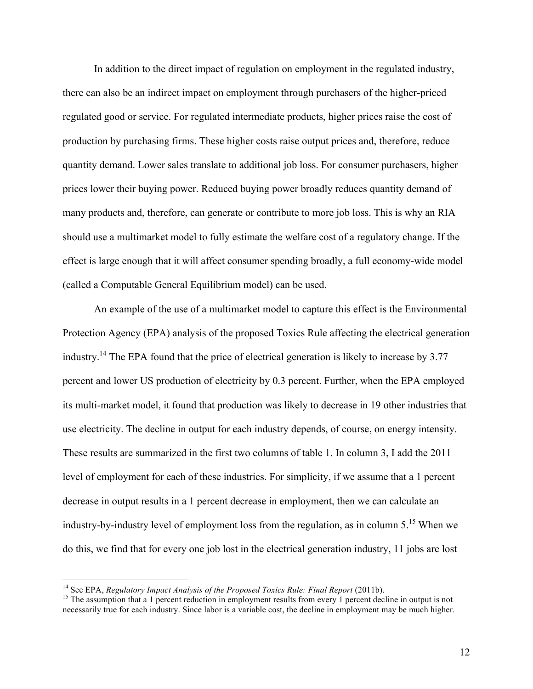In addition to the direct impact of regulation on employment in the regulated industry, there can also be an indirect impact on employment through purchasers of the higher-priced regulated good or service. For regulated intermediate products, higher prices raise the cost of production by purchasing firms. These higher costs raise output prices and, therefore, reduce quantity demand. Lower sales translate to additional job loss. For consumer purchasers, higher prices lower their buying power. Reduced buying power broadly reduces quantity demand of many products and, therefore, can generate or contribute to more job loss. This is why an RIA should use a multimarket model to fully estimate the welfare cost of a regulatory change. If the effect is large enough that it will affect consumer spending broadly, a full economy-wide model (called a Computable General Equilibrium model) can be used.

An example of the use of a multimarket model to capture this effect is the Environmental Protection Agency (EPA) analysis of the proposed Toxics Rule affecting the electrical generation industry.<sup>14</sup> The EPA found that the price of electrical generation is likely to increase by 3.77 percent and lower US production of electricity by 0.3 percent. Further, when the EPA employed its multi-market model, it found that production was likely to decrease in 19 other industries that use electricity. The decline in output for each industry depends, of course, on energy intensity. These results are summarized in the first two columns of table 1. In column 3, I add the 2011 level of employment for each of these industries. For simplicity, if we assume that a 1 percent decrease in output results in a 1 percent decrease in employment, then we can calculate an industry-by-industry level of employment loss from the regulation, as in column 5.<sup>15</sup> When we do this, we find that for every one job lost in the electrical generation industry, 11 jobs are lost

<sup>&</sup>lt;sup>14</sup> See EPA, *Regulatory Impact Analysis of the Proposed Toxics Rule: Final Report (2011b).* 

<sup>&</sup>lt;sup>15</sup> The assumption that a 1 percent reduction in employment results from every 1 percent decline in output is not necessarily true for each industry. Since labor is a variable cost, the decline in employment may be much higher.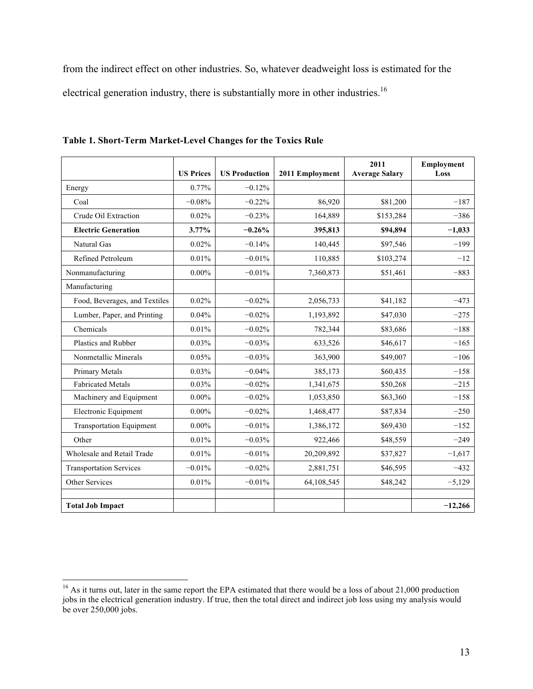from the indirect effect on other industries. So, whatever deadweight loss is estimated for the electrical generation industry, there is substantially more in other industries.<sup>16</sup>

|                                 | <b>US Prices</b> | <b>US Production</b> | 2011 Employment | 2011<br><b>Average Salary</b> | Employment<br>Loss |
|---------------------------------|------------------|----------------------|-----------------|-------------------------------|--------------------|
| Energy                          | 0.77%            | $-0.12%$             |                 |                               |                    |
| Coal                            | $-0.08%$         | $-0.22%$             | 86,920          | \$81,200                      | $-187$             |
| Crude Oil Extraction            | 0.02%            | $-0.23%$             | 164,889         | \$153,284                     | $-386$             |
| <b>Electric Generation</b>      | 3.77%            | $-0.26%$             | 395,813         | \$94,894                      | $-1,033$           |
| Natural Gas                     | 0.02%            | $-0.14%$             | 140,445         | \$97,546                      | $-199$             |
| Refined Petroleum               | 0.01%            | $-0.01%$             | 110,885         | \$103,274                     | $-12$              |
| Nonmanufacturing                | $0.00\%$         | $-0.01%$             | 7,360,873       | \$51,461                      | $-883$             |
| Manufacturing                   |                  |                      |                 |                               |                    |
| Food, Beverages, and Textiles   | 0.02%            | $-0.02%$             | 2,056,733       | \$41,182                      | $-473$             |
| Lumber, Paper, and Printing     | 0.04%            | $-0.02%$             | 1,193,892       | \$47,030                      | $-275$             |
| Chemicals                       | 0.01%            | $-0.02%$             | 782,344         | \$83,686                      | $-188$             |
| Plastics and Rubber             | 0.03%            | $-0.03%$             | 633,526         | \$46,617                      | $-165$             |
| Nonmetallic Minerals            | 0.05%            | $-0.03%$             | 363,900         | \$49,007                      | $-106$             |
| Primary Metals                  | 0.03%            | $-0.04%$             | 385,173         | \$60,435                      | $-158$             |
| <b>Fabricated Metals</b>        | 0.03%            | $-0.02%$             | 1,341,675       | \$50,268                      | $-215$             |
| Machinery and Equipment         | $0.00\%$         | $-0.02%$             | 1,053,850       | \$63,360                      | $-158$             |
| Electronic Equipment            | $0.00\%$         | $-0.02%$             | 1,468,477       | \$87,834                      | $-250$             |
| <b>Transportation Equipment</b> | $0.00\%$         | $-0.01%$             | 1,386,172       | \$69,430                      | $-152$             |
| Other                           | 0.01%            | $-0.03%$             | 922,466         | \$48,559                      | $-249$             |
| Wholesale and Retail Trade      | 0.01%            | $-0.01%$             | 20,209,892      | \$37,827                      | $-1,617$           |
| <b>Transportation Services</b>  | $-0.01%$         | $-0.02%$             | 2,881,751       | \$46,595                      | $-432$             |
| Other Services                  | 0.01%            | $-0.01%$             | 64,108,545      | \$48,242                      | $-5,129$           |
|                                 |                  |                      |                 |                               |                    |
| <b>Total Job Impact</b>         |                  |                      |                 |                               | $-12,266$          |

**Table 1. Short-Term Market-Level Changes for the Toxics Rule**

 $16$  As it turns out, later in the same report the EPA estimated that there would be a loss of about 21,000 production jobs in the electrical generation industry. If true, then the total direct and indirect job loss using my analysis would be over 250,000 jobs.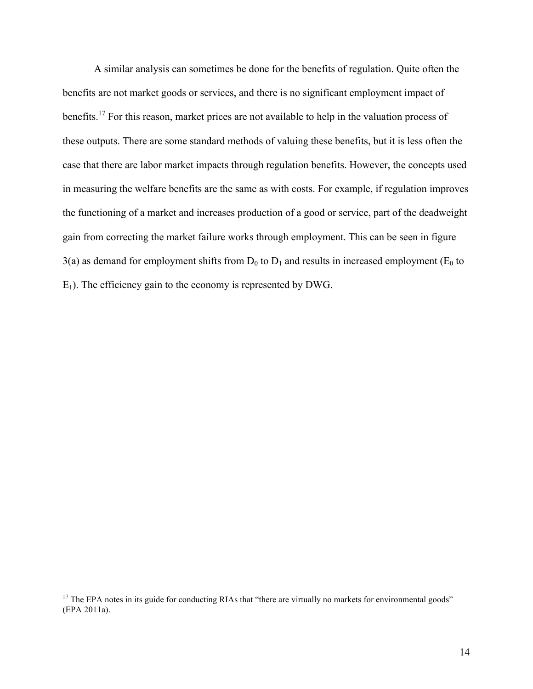A similar analysis can sometimes be done for the benefits of regulation. Quite often the benefits are not market goods or services, and there is no significant employment impact of benefits.<sup>17</sup> For this reason, market prices are not available to help in the valuation process of these outputs. There are some standard methods of valuing these benefits, but it is less often the case that there are labor market impacts through regulation benefits. However, the concepts used in measuring the welfare benefits are the same as with costs. For example, if regulation improves the functioning of a market and increases production of a good or service, part of the deadweight gain from correcting the market failure works through employment. This can be seen in figure  $3(a)$  as demand for employment shifts from  $D_0$  to  $D_1$  and results in increased employment (E<sub>0</sub> to  $E_1$ ). The efficiency gain to the economy is represented by DWG.

 $17$  The EPA notes in its guide for conducting RIAs that "there are virtually no markets for environmental goods" (EPA 2011a).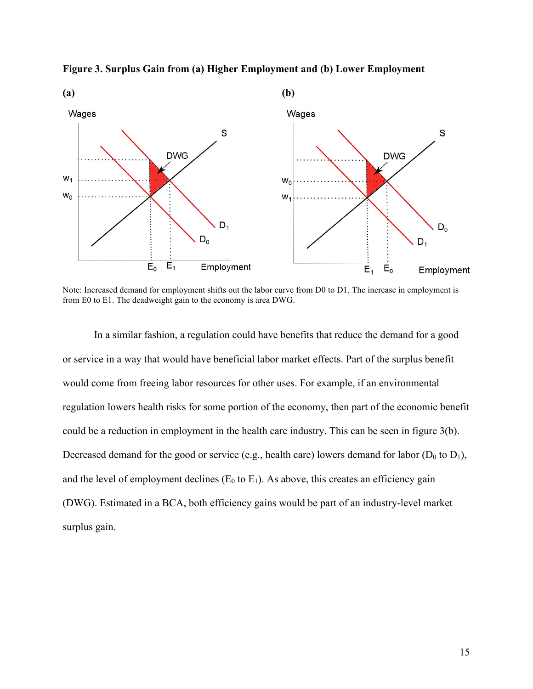

**Figure 3. Surplus Gain from (a) Higher Employment and (b) Lower Employment**

Note: Increased demand for employment shifts out the labor curve from D0 to D1. The increase in employment is from E0 to E1. The deadweight gain to the economy is area DWG.

In a similar fashion, a regulation could have benefits that reduce the demand for a good or service in a way that would have beneficial labor market effects. Part of the surplus benefit would come from freeing labor resources for other uses. For example, if an environmental regulation lowers health risks for some portion of the economy, then part of the economic benefit could be a reduction in employment in the health care industry. This can be seen in figure 3(b). Decreased demand for the good or service (e.g., health care) lowers demand for labor ( $D_0$  to  $D_1$ ), and the level of employment declines ( $E_0$  to  $E_1$ ). As above, this creates an efficiency gain (DWG). Estimated in a BCA, both efficiency gains would be part of an industry-level market surplus gain.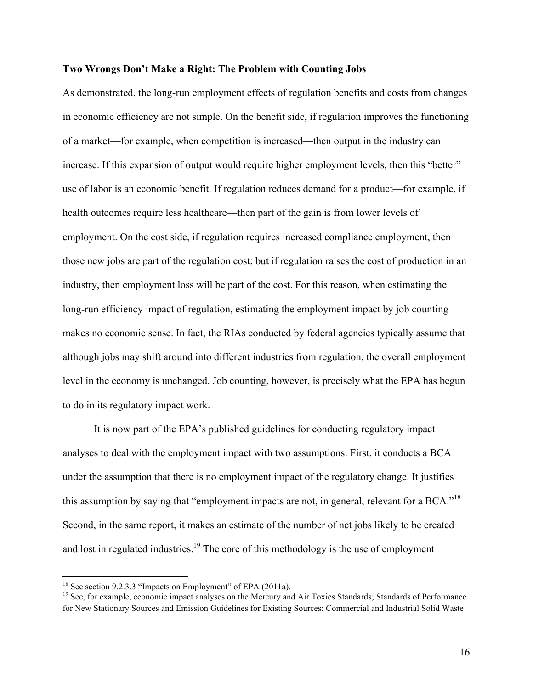## **Two Wrongs Don't Make a Right: The Problem with Counting Jobs**

As demonstrated, the long-run employment effects of regulation benefits and costs from changes in economic efficiency are not simple. On the benefit side, if regulation improves the functioning of a market—for example, when competition is increased—then output in the industry can increase. If this expansion of output would require higher employment levels, then this "better" use of labor is an economic benefit. If regulation reduces demand for a product—for example, if health outcomes require less healthcare—then part of the gain is from lower levels of employment. On the cost side, if regulation requires increased compliance employment, then those new jobs are part of the regulation cost; but if regulation raises the cost of production in an industry, then employment loss will be part of the cost. For this reason, when estimating the long-run efficiency impact of regulation, estimating the employment impact by job counting makes no economic sense. In fact, the RIAs conducted by federal agencies typically assume that although jobs may shift around into different industries from regulation, the overall employment level in the economy is unchanged. Job counting, however, is precisely what the EPA has begun to do in its regulatory impact work.

It is now part of the EPA's published guidelines for conducting regulatory impact analyses to deal with the employment impact with two assumptions. First, it conducts a BCA under the assumption that there is no employment impact of the regulatory change. It justifies this assumption by saying that "employment impacts are not, in general, relevant for a BCA."<sup>18</sup> Second, in the same report, it makes an estimate of the number of net jobs likely to be created and lost in regulated industries.<sup>19</sup> The core of this methodology is the use of employment

<sup>&</sup>lt;sup>18</sup> See section 9.2.3.3 "Impacts on Employment" of EPA (2011a).

<sup>&</sup>lt;sup>19</sup> See, for example, economic impact analyses on the Mercury and Air Toxics Standards; Standards of Performance for New Stationary Sources and Emission Guidelines for Existing Sources: Commercial and Industrial Solid Waste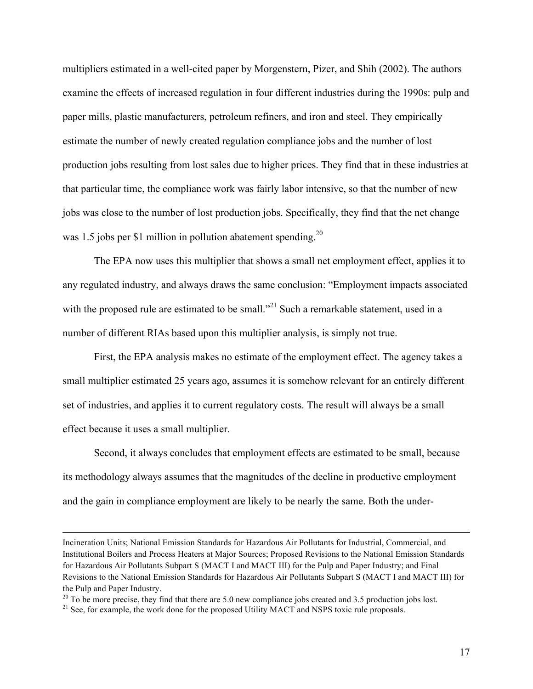multipliers estimated in a well-cited paper by Morgenstern, Pizer, and Shih (2002). The authors examine the effects of increased regulation in four different industries during the 1990s: pulp and paper mills, plastic manufacturers, petroleum refiners, and iron and steel. They empirically estimate the number of newly created regulation compliance jobs and the number of lost production jobs resulting from lost sales due to higher prices. They find that in these industries at that particular time, the compliance work was fairly labor intensive, so that the number of new jobs was close to the number of lost production jobs. Specifically, they find that the net change was 1.5 jobs per \$1 million in pollution abatement spending.<sup>20</sup>

The EPA now uses this multiplier that shows a small net employment effect, applies it to any regulated industry, and always draws the same conclusion: "Employment impacts associated with the proposed rule are estimated to be small.<sup>321</sup> Such a remarkable statement, used in a number of different RIAs based upon this multiplier analysis, is simply not true.

First, the EPA analysis makes no estimate of the employment effect. The agency takes a small multiplier estimated 25 years ago, assumes it is somehow relevant for an entirely different set of industries, and applies it to current regulatory costs. The result will always be a small effect because it uses a small multiplier.

Second, it always concludes that employment effects are estimated to be small, because its methodology always assumes that the magnitudes of the decline in productive employment and the gain in compliance employment are likely to be nearly the same. Both the under-

!!!!!!!!!!!!!!!!!!!!!!!!!!!!!!!!!!!!!!!!!!!!!!!!!!!!!!!!!!!!!!!!!!!!!!!!!!!!!!!!!!!!!!!!!!!!!!!!!!!!!!!!!!!!!!!!!!!!!!!!!!!!!!!!!!!!!!!!!!!!!!!!!!!!!!!!!!!!!!!!!!!!!!!!!!!!!!!!!!!!!!!!!!!!!!!!!!!

Incineration Units; National Emission Standards for Hazardous Air Pollutants for Industrial, Commercial, and Institutional Boilers and Process Heaters at Major Sources; Proposed Revisions to the National Emission Standards for Hazardous Air Pollutants Subpart S (MACT I and MACT III) for the Pulp and Paper Industry; and Final Revisions to the National Emission Standards for Hazardous Air Pollutants Subpart S (MACT I and MACT III) for the Pulp and Paper Industry.

<sup>&</sup>lt;sup>20</sup> To be more precise, they find that there are 5.0 new compliance jobs created and 3.5 production jobs lost. <sup>21</sup> See, for example, the work done for the proposed Utility MACT and NSPS toxic rule proposals.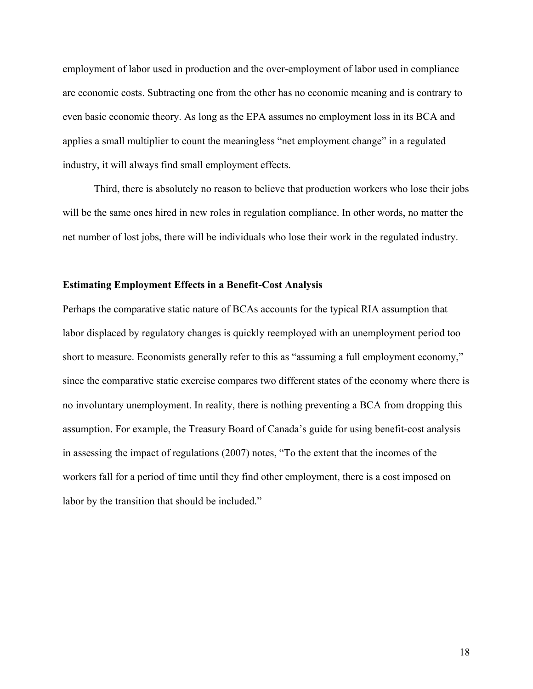employment of labor used in production and the over-employment of labor used in compliance are economic costs. Subtracting one from the other has no economic meaning and is contrary to even basic economic theory. As long as the EPA assumes no employment loss in its BCA and applies a small multiplier to count the meaningless "net employment change" in a regulated industry, it will always find small employment effects.

Third, there is absolutely no reason to believe that production workers who lose their jobs will be the same ones hired in new roles in regulation compliance. In other words, no matter the net number of lost jobs, there will be individuals who lose their work in the regulated industry.

#### **Estimating Employment Effects in a Benefit-Cost Analysis**

Perhaps the comparative static nature of BCAs accounts for the typical RIA assumption that labor displaced by regulatory changes is quickly reemployed with an unemployment period too short to measure. Economists generally refer to this as "assuming a full employment economy," since the comparative static exercise compares two different states of the economy where there is no involuntary unemployment. In reality, there is nothing preventing a BCA from dropping this assumption. For example, the Treasury Board of Canada's guide for using benefit-cost analysis in assessing the impact of regulations (2007) notes, "To the extent that the incomes of the workers fall for a period of time until they find other employment, there is a cost imposed on labor by the transition that should be included."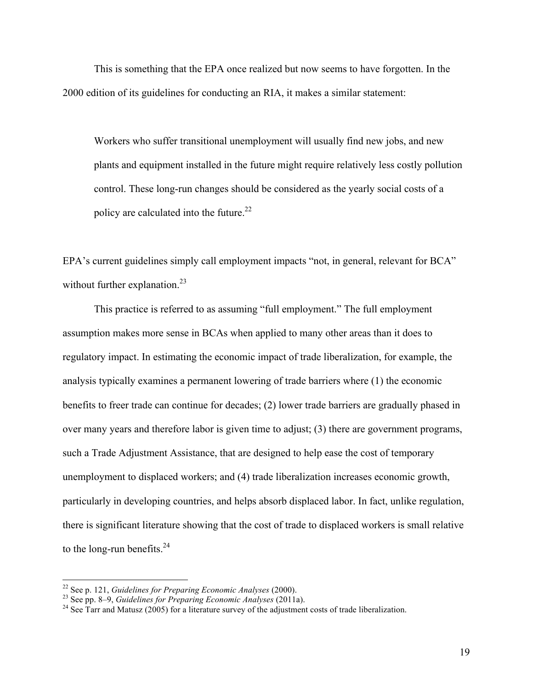This is something that the EPA once realized but now seems to have forgotten. In the 2000 edition of its guidelines for conducting an RIA, it makes a similar statement:

Workers who suffer transitional unemployment will usually find new jobs, and new plants and equipment installed in the future might require relatively less costly pollution control. These long-run changes should be considered as the yearly social costs of a policy are calculated into the future.<sup>22</sup>

EPA's current guidelines simply call employment impacts "not, in general, relevant for BCA" without further explanation.<sup>23</sup>

This practice is referred to as assuming "full employment." The full employment assumption makes more sense in BCAs when applied to many other areas than it does to regulatory impact. In estimating the economic impact of trade liberalization, for example, the analysis typically examines a permanent lowering of trade barriers where (1) the economic benefits to freer trade can continue for decades; (2) lower trade barriers are gradually phased in over many years and therefore labor is given time to adjust; (3) there are government programs, such a Trade Adjustment Assistance, that are designed to help ease the cost of temporary unemployment to displaced workers; and (4) trade liberalization increases economic growth, particularly in developing countries, and helps absorb displaced labor. In fact, unlike regulation, there is significant literature showing that the cost of trade to displaced workers is small relative to the long-run benefits. $24$ 

 $22$  See p. 121, Guidelines for Preparing Economic Analyses (2000).

<sup>&</sup>lt;sup>23</sup> See pp. 8–9, *Guidelines for Preparing Economic Analyses* (2011a).<br><sup>24</sup> See Tarr and Matusz (2005) for a literature survey of the adjustment costs of trade liberalization.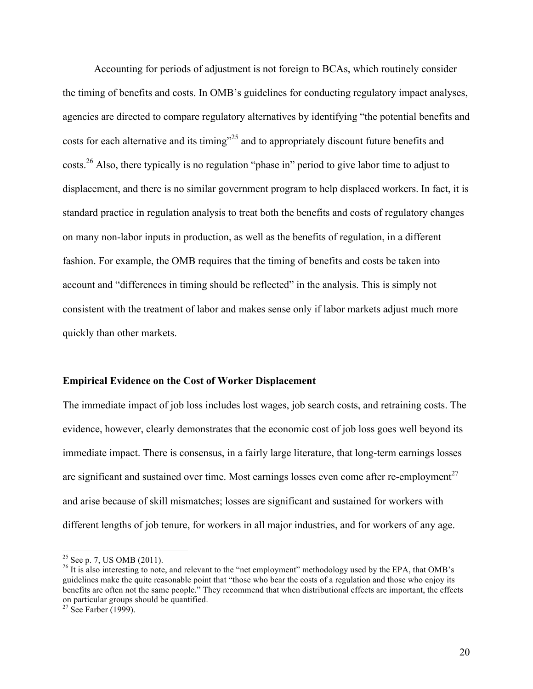Accounting for periods of adjustment is not foreign to BCAs, which routinely consider the timing of benefits and costs. In OMB's guidelines for conducting regulatory impact analyses, agencies are directed to compare regulatory alternatives by identifying "the potential benefits and costs for each alternative and its timing"25 and to appropriately discount future benefits and costs.<sup>26</sup> Also, there typically is no regulation "phase in" period to give labor time to adjust to displacement, and there is no similar government program to help displaced workers. In fact, it is standard practice in regulation analysis to treat both the benefits and costs of regulatory changes on many non-labor inputs in production, as well as the benefits of regulation, in a different fashion. For example, the OMB requires that the timing of benefits and costs be taken into account and "differences in timing should be reflected" in the analysis. This is simply not consistent with the treatment of labor and makes sense only if labor markets adjust much more quickly than other markets.

#### **Empirical Evidence on the Cost of Worker Displacement**

The immediate impact of job loss includes lost wages, job search costs, and retraining costs. The evidence, however, clearly demonstrates that the economic cost of job loss goes well beyond its immediate impact. There is consensus, in a fairly large literature, that long-term earnings losses are significant and sustained over time. Most earnings losses even come after re-employment<sup>27</sup> and arise because of skill mismatches; losses are significant and sustained for workers with different lengths of job tenure, for workers in all major industries, and for workers of any age.

<sup>&</sup>lt;sup>25</sup> See p. 7, US OMB (2011).<br><sup>26</sup> It is also interesting to note, and relevant to the "net employment" methodology used by the EPA, that OMB's guidelines make the quite reasonable point that "those who bear the costs of a regulation and those who enjoy its benefits are often not the same people." They recommend that when distributional effects are important, the effects on particular groups should be quantified. <sup>27</sup> See Farber (1999).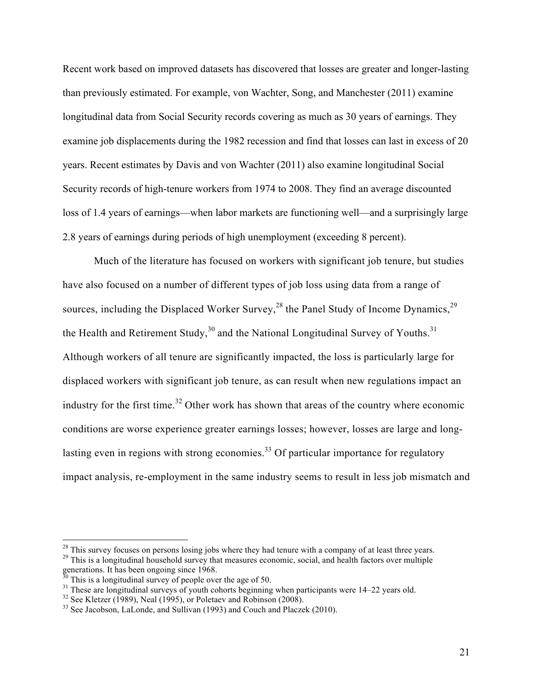Recent work based on improved datasets has discovered that losses are greater and longer-lasting than previously estimated. For example, von Wachter, Song, and Manchester (2011) examine longitudinal data from Social Security records covering as much as 30 years of earnings. They examine job displacements during the 1982 recession and find that losses can last in excess of 20 years. Recent estimates by Davis and von Wachter (2011) also examine longitudinal Social Security records of high-tenure workers from 1974 to 2008. They find an average discounted loss of 1.4 years of earnings—when labor markets are functioning well—and a surprisingly large 2.8 years of earnings during periods of high unemployment (exceeding 8 percent).

Much of the literature has focused on workers with significant job tenure, but studies have also focused on a number of different types of job loss using data from a range of sources, including the Displaced Worker Survey,<sup>28</sup> the Panel Study of Income Dynamics,<sup>29</sup> the Health and Retirement Study,  $30$  and the National Longitudinal Survey of Youths.<sup>31</sup> Although workers of all tenure are significantly impacted, the loss is particularly large for displaced workers with significant job tenure, as can result when new regulations impact an industry for the first time.<sup>32</sup> Other work has shown that areas of the country where economic conditions are worse experience greater earnings losses; however, losses are large and longlasting even in regions with strong economies.<sup>33</sup> Of particular importance for regulatory impact analysis, re-employment in the same industry seems to result in less job mismatch and

<sup>&</sup>lt;sup>28</sup> This survey focuses on persons losing jobs where they had tenure with a company of at least three years. <sup>29</sup> This is a longitudinal household survey that measures economic, social, and health factors over multiple

generations. It has been ongoing since 1968.<br>
<sup>30</sup> This is a longitudinal survey of people over the age of 50.<br>
<sup>31</sup> These are longitudinal surveys of youth cohorts beginning when participants were 14–22 years old.<br>
<sup>32</sup>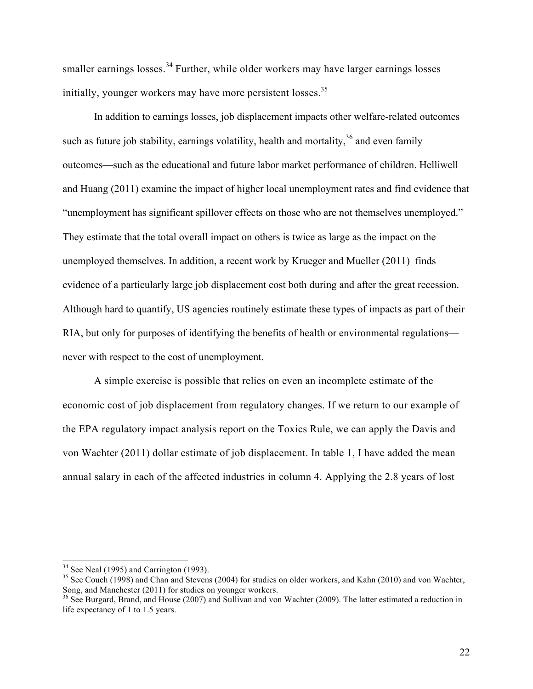smaller earnings losses.<sup>34</sup> Further, while older workers may have larger earnings losses initially, younger workers may have more persistent losses.<sup>35</sup>

In addition to earnings losses, job displacement impacts other welfare-related outcomes such as future job stability, earnings volatility, health and mortality,  $36$  and even family outcomes—such as the educational and future labor market performance of children. Helliwell and Huang (2011) examine the impact of higher local unemployment rates and find evidence that "unemployment has significant spillover effects on those who are not themselves unemployed." They estimate that the total overall impact on others is twice as large as the impact on the unemployed themselves. In addition, a recent work by Krueger and Mueller (2011) finds evidence of a particularly large job displacement cost both during and after the great recession. Although hard to quantify, US agencies routinely estimate these types of impacts as part of their RIA, but only for purposes of identifying the benefits of health or environmental regulations never with respect to the cost of unemployment.

A simple exercise is possible that relies on even an incomplete estimate of the economic cost of job displacement from regulatory changes. If we return to our example of the EPA regulatory impact analysis report on the Toxics Rule, we can apply the Davis and von Wachter (2011) dollar estimate of job displacement. In table 1, I have added the mean annual salary in each of the affected industries in column 4. Applying the 2.8 years of lost

<sup>&</sup>lt;sup>34</sup> See Neal (1995) and Carrington (1993).<br><sup>35</sup> See Couch (1998) and Chan and Stevens (2004) for studies on older workers, and Kahn (2010) and von Wachter, Song, and Manchester (2011) for studies on younger workers.

<sup>&</sup>lt;sup>36</sup> See Burgard, Brand, and House (2007) and Sullivan and von Wachter (2009). The latter estimated a reduction in life expectancy of 1 to 1.5 years.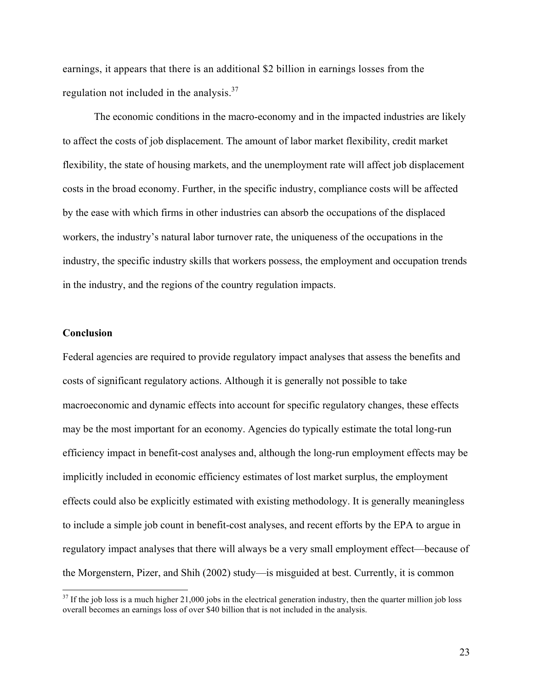earnings, it appears that there is an additional \$2 billion in earnings losses from the regulation not included in the analysis.<sup>37</sup>

The economic conditions in the macro-economy and in the impacted industries are likely to affect the costs of job displacement. The amount of labor market flexibility, credit market flexibility, the state of housing markets, and the unemployment rate will affect job displacement costs in the broad economy. Further, in the specific industry, compliance costs will be affected by the ease with which firms in other industries can absorb the occupations of the displaced workers, the industry's natural labor turnover rate, the uniqueness of the occupations in the industry, the specific industry skills that workers possess, the employment and occupation trends in the industry, and the regions of the country regulation impacts.

#### **Conclusion**

!!!!!!!!!!!!!!!!!!!!!!!!!!!!!!!!!!!!!!!!!!!!!!!!!!!!!!!!!!!!

Federal agencies are required to provide regulatory impact analyses that assess the benefits and costs of significant regulatory actions. Although it is generally not possible to take macroeconomic and dynamic effects into account for specific regulatory changes, these effects may be the most important for an economy. Agencies do typically estimate the total long-run efficiency impact in benefit-cost analyses and, although the long-run employment effects may be implicitly included in economic efficiency estimates of lost market surplus, the employment effects could also be explicitly estimated with existing methodology. It is generally meaningless to include a simple job count in benefit-cost analyses, and recent efforts by the EPA to argue in regulatory impact analyses that there will always be a very small employment effect—because of the Morgenstern, Pizer, and Shih (2002) study—is misguided at best. Currently, it is common

 $37$  If the job loss is a much higher 21,000 jobs in the electrical generation industry, then the quarter million job loss overall becomes an earnings loss of over \$40 billion that is not included in the analysis.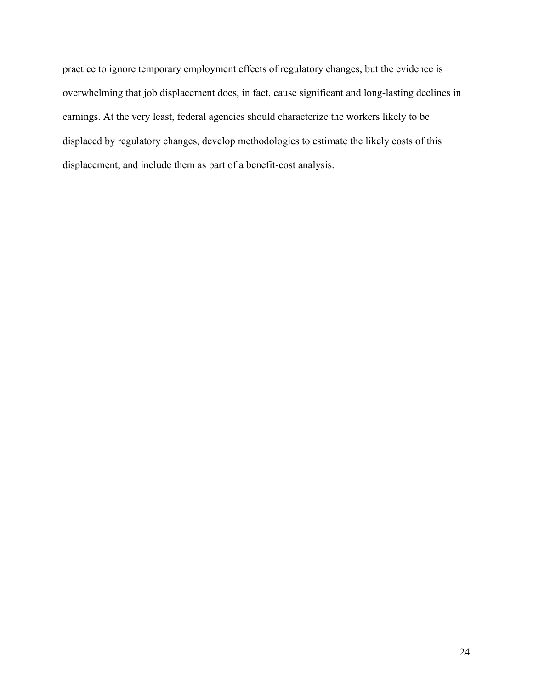practice to ignore temporary employment effects of regulatory changes, but the evidence is overwhelming that job displacement does, in fact, cause significant and long-lasting declines in earnings. At the very least, federal agencies should characterize the workers likely to be displaced by regulatory changes, develop methodologies to estimate the likely costs of this displacement, and include them as part of a benefit-cost analysis.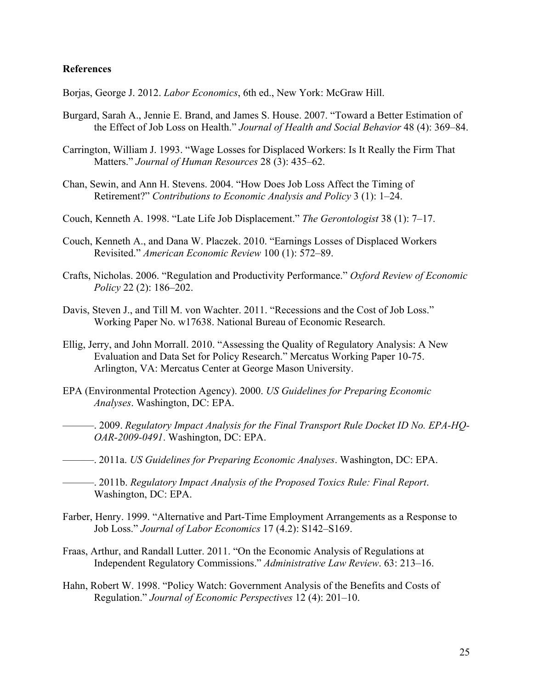## **References**

Borjas, George J. 2012. *Labor Economics*, 6th ed., New York: McGraw Hill.

- Burgard, Sarah A., Jennie E. Brand, and James S. House. 2007. "Toward a Better Estimation of the Effect of Job Loss on Health." *Journal of Health and Social Behavior* 48 (4): 369–84.
- Carrington, William J. 1993. "Wage Losses for Displaced Workers: Is It Really the Firm That Matters." *Journal of Human Resources* 28 (3): 435–62.
- Chan, Sewin, and Ann H. Stevens. 2004. "How Does Job Loss Affect the Timing of Retirement?" *Contributions to Economic Analysis and Policy* 3 (1): 1–24.
- Couch, Kenneth A. 1998. "Late Life Job Displacement." *The Gerontologist* 38 (1): 7–17.
- Couch, Kenneth A., and Dana W. Placzek. 2010. "Earnings Losses of Displaced Workers Revisited." *American Economic Review* 100 (1): 572–89.
- Crafts, Nicholas. 2006. "Regulation and Productivity Performance." *Oxford Review of Economic Policy* 22 (2): 186–202.
- Davis, Steven J., and Till M. von Wachter. 2011. "Recessions and the Cost of Job Loss." Working Paper No. w17638. National Bureau of Economic Research.
- Ellig, Jerry, and John Morrall. 2010. "Assessing the Quality of Regulatory Analysis: A New Evaluation and Data Set for Policy Research." Mercatus Working Paper 10-75. Arlington, VA: Mercatus Center at George Mason University.
- EPA (Environmental Protection Agency). 2000. *US Guidelines for Preparing Economic Analyses*. Washington, DC: EPA.
- $-$ . 2009. *Regulatory Impact Analysis for the Final Transport Rule Docket ID No. EPA-HQ-OAR-2009-0491*. Washington, DC: EPA.
- ———. 2011a. *US Guidelines for Preparing Economic Analyses*. Washington, DC: EPA.
- ———. 2011b. *Regulatory Impact Analysis of the Proposed Toxics Rule: Final Report*. Washington, DC: EPA.
- Farber, Henry. 1999. "Alternative and Part-Time Employment Arrangements as a Response to Job Loss." *Journal of Labor Economics* 17 (4.2): S142–S169.
- Fraas, Arthur, and Randall Lutter. 2011. "On the Economic Analysis of Regulations at Independent Regulatory Commissions." *Administrative Law Review*. 63: 213–16.
- Hahn, Robert W. 1998. "Policy Watch: Government Analysis of the Benefits and Costs of Regulation." *Journal of Economic Perspectives* 12 (4): 201–10.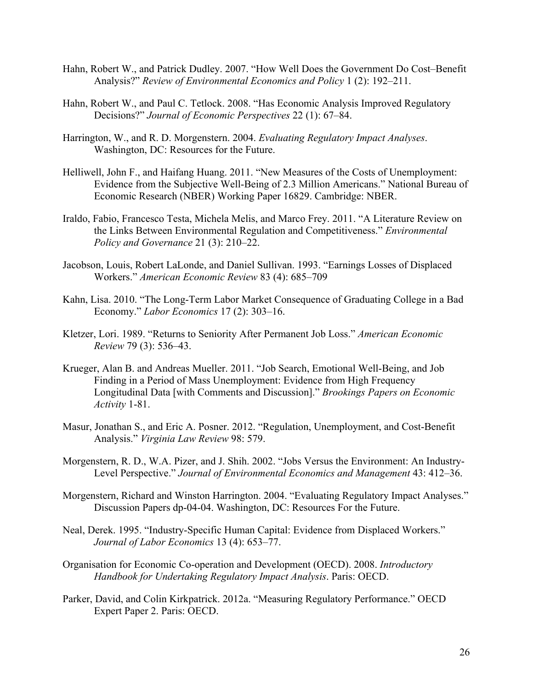- Hahn, Robert W., and Patrick Dudley. 2007. "How Well Does the Government Do Cost–Benefit Analysis?" *Review of Environmental Economics and Policy* 1 (2): 192–211.
- Hahn, Robert W., and Paul C. Tetlock. 2008. "Has Economic Analysis Improved Regulatory Decisions?" *Journal of Economic Perspectives* 22 (1): 67–84.
- Harrington, W., and R. D. Morgenstern. 2004. *Evaluating Regulatory Impact Analyses*. Washington, DC: Resources for the Future.
- Helliwell, John F., and Haifang Huang. 2011. "New Measures of the Costs of Unemployment: Evidence from the Subjective Well-Being of 2.3 Million Americans." National Bureau of Economic Research (NBER) Working Paper 16829. Cambridge: NBER.
- Iraldo, Fabio, Francesco Testa, Michela Melis, and Marco Frey. 2011. "A Literature Review on the Links Between Environmental Regulation and Competitiveness." *Environmental Policy and Governance* 21 (3): 210–22.
- Jacobson, Louis, Robert LaLonde, and Daniel Sullivan. 1993. "Earnings Losses of Displaced Workers." *American Economic Review* 83 (4): 685–709
- Kahn, Lisa. 2010. "The Long-Term Labor Market Consequence of Graduating College in a Bad Economy." *Labor Economics* 17 (2): 303–16.
- Kletzer, Lori. 1989. "Returns to Seniority After Permanent Job Loss." *American Economic Review* 79 (3): 536–43.
- Krueger, Alan B. and Andreas Mueller. 2011. "Job Search, Emotional Well-Being, and Job Finding in a Period of Mass Unemployment: Evidence from High Frequency Longitudinal Data [with Comments and Discussion]." *Brookings Papers on Economic Activity* 1-81.
- Masur, Jonathan S., and Eric A. Posner. 2012. "Regulation, Unemployment, and Cost-Benefit Analysis." *Virginia Law Review* 98: 579.
- Morgenstern, R. D., W.A. Pizer, and J. Shih. 2002. "Jobs Versus the Environment: An Industry-Level Perspective." *Journal of Environmental Economics and Management* 43: 412–36.
- Morgenstern, Richard and Winston Harrington. 2004. "Evaluating Regulatory Impact Analyses." Discussion Papers dp-04-04. Washington, DC: Resources For the Future.
- Neal, Derek. 1995. "Industry-Specific Human Capital: Evidence from Displaced Workers." *Journal of Labor Economics* 13 (4): 653–77.
- Organisation for Economic Co-operation and Development (OECD). 2008. *Introductory Handbook for Undertaking Regulatory Impact Analysis*. Paris: OECD.
- Parker, David, and Colin Kirkpatrick. 2012a. "Measuring Regulatory Performance." OECD Expert Paper 2. Paris: OECD.